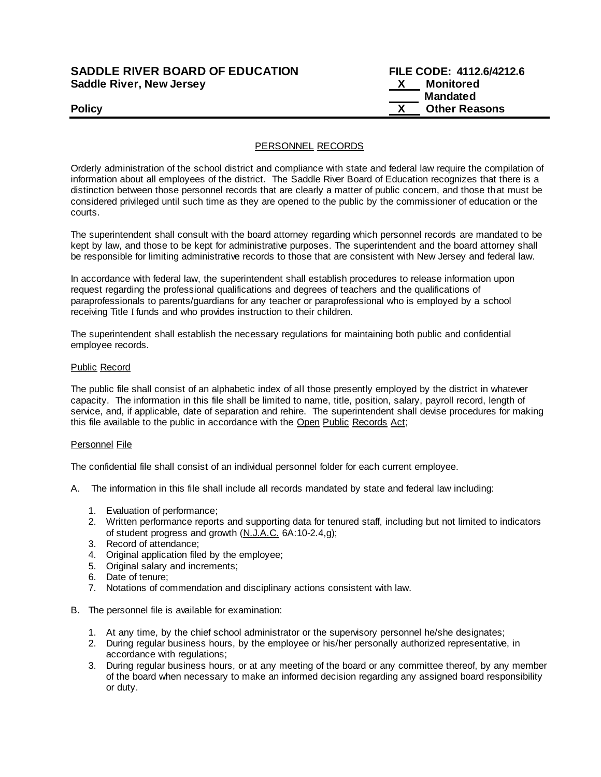# **SADDLE RIVER BOARD OF EDUCATION Saddle River, New Jersey**

| <b>SADDLE RIVER BOARD OF EDUCATION</b> | FILE CODE: 4112.6/4212.6 |
|----------------------------------------|--------------------------|
| <b>Saddle River, New Jersey</b>        | Monitored                |
|                                        | Mandated                 |
| <b>Policy</b>                          | <b>Other Reasons</b>     |

# PERSONNEL RECORDS

Orderly administration of the school district and compliance with state and federal law require the compilation of information about all employees of the district. The Saddle River Board of Education recognizes that there is a distinction between those personnel records that are clearly a matter of public concern, and those that must be considered privileged until such time as they are opened to the public by the commissioner of education or the courts.

The superintendent shall consult with the board attorney regarding which personnel records are mandated to be kept by law, and those to be kept for administrative purposes. The superintendent and the board attorney shall be responsible for limiting administrative records to those that are consistent with New Jersey and federal law.

In accordance with federal law, the superintendent shall establish procedures to release information upon request regarding the professional qualifications and degrees of teachers and the qualifications of paraprofessionals to parents/guardians for any teacher or paraprofessional who is employed by a school receiving Title I funds and who provides instruction to their children.

The superintendent shall establish the necessary regulations for maintaining both public and confidential employee records.

## Public Record

The public file shall consist of an alphabetic index of all those presently employed by the district in whatever capacity. The information in this file shall be limited to name, title, position, salary, payroll record, length of service, and, if applicable, date of separation and rehire. The superintendent shall devise procedures for making this file available to the public in accordance with the Open Public Records Act;

#### Personnel File

The confidential file shall consist of an individual personnel folder for each current employee.

- A. The information in this file shall include all records mandated by state and federal law including:
	- 1. Evaluation of performance;
	- 2. Written performance reports and supporting data for tenured staff, including but not limited to indicators of student progress and growth (N.J.A.C. 6A:10-2.4,g);
	- 3. Record of attendance;
	- 4. Original application filed by the employee;
	- 5. Original salary and increments;
	- 6. Date of tenure;
	- 7. Notations of commendation and disciplinary actions consistent with law.
- B. The personnel file is available for examination:
	- 1. At any time, by the chief school administrator or the supervisory personnel he/she designates;
	- 2. During regular business hours, by the employee or his/her personally authorized representative, in accordance with regulations;
	- 3. During regular business hours, or at any meeting of the board or any committee thereof, by any member of the board when necessary to make an informed decision regarding any assigned board responsibility or duty.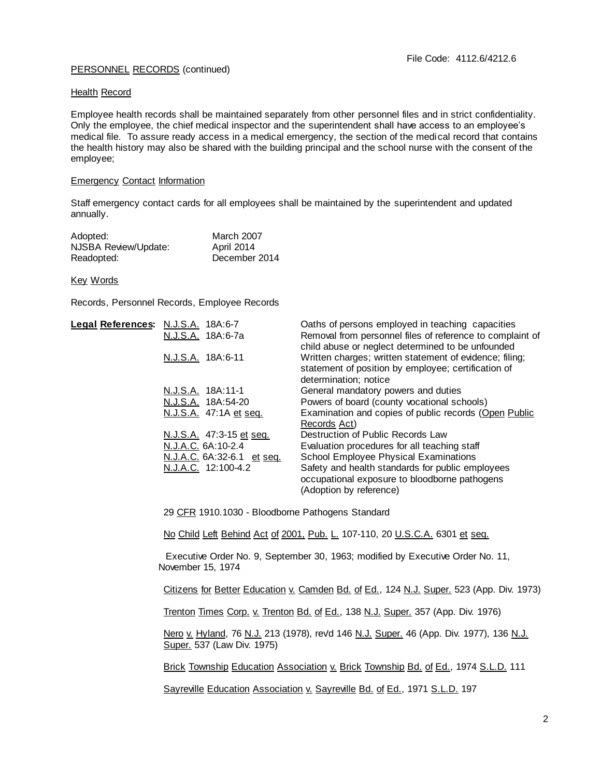# PERSONNEL RECORDS (continued)

## Health Record

Employee health records shall be maintained separately from other personnel files and in strict confidentiality. Only the employee, the chief medical inspector and the superintendent shall have access to an employee's medical file. To assure ready access in a medical emergency, the section of the medical record that contains the health history may also be shared with the building principal and the school nurse with the consent of the employee;

# Emergency Contact Information

Staff emergency contact cards for all employees shall be maintained by the superintendent and updated annually.

| Adopted:             | March 2007        |
|----------------------|-------------------|
| NJSBA Review/Update: | <b>April 2014</b> |
| Readopted:           | December 2014     |

## Key Words

Records, Personnel Records, Employee Records

| Legal References: N.J.S.A. 18A:6-7 | N.J.S.A. 18A:6-7a          | Oaths of persons employed in teaching capacities<br>Removal from personnel files of reference to complaint of<br>child abuse or neglect determined to be unfounded |
|------------------------------------|----------------------------|--------------------------------------------------------------------------------------------------------------------------------------------------------------------|
|                                    | N.J.S.A. 18A:6-11          | Written charges; written statement of evidence; filing;<br>statement of position by employee; certification of<br>determination; notice                            |
|                                    | N.J.S.A. 18A:11-1          | General mandatory powers and duties                                                                                                                                |
|                                    | N.J.S.A. 18A:54-20         | Powers of board (county vocational schools)                                                                                                                        |
|                                    | N.J.S.A. 47:1A et seg.     | Examination and copies of public records (Open Public<br>Records Act)                                                                                              |
|                                    | N.J.S.A. 47:3-15 et seq.   | Destruction of Public Records Law                                                                                                                                  |
|                                    | N.J.A.C. 6A:10-2.4         | Evaluation procedures for all teaching staff                                                                                                                       |
|                                    | N.J.A.C. 6A:32-6.1 et seq. | School Employee Physical Examinations                                                                                                                              |
|                                    | N.J.A.C. 12:100-4.2        | Safety and health standards for public employees<br>occupational exposure to bloodborne pathogens<br>(Adoption by reference)                                       |

29 CFR 1910.1030 - Bloodborne Pathogens Standard

No Child Left Behind Act of 2001, Pub. L. 107-110, 20 U.S.C.A. 6301 et seq.

 Executive Order No. 9, September 30, 1963; modified by Executive Order No. 11, November 15, 1974

Citizens for Better Education v. Camden Bd. of Ed., 124 N.J. Super. 523 (App. Div. 1973)

Trenton Times Corp. v. Trenton Bd. of Ed., 138 N.J. Super. 357 (App. Div. 1976)

Nero v. Hyland, 76 N.J. 213 (1978), revd 146 N.J. Super. 46 (App. Div. 1977), 136 N.J. Super. 537 (Law Div. 1975)

Brick Township Education Association v. Brick Township Bd. of Ed., 1974 S.L.D. 111

Sayreville Education Association v. Sayreville Bd. of Ed., 1971 S.L.D. 197